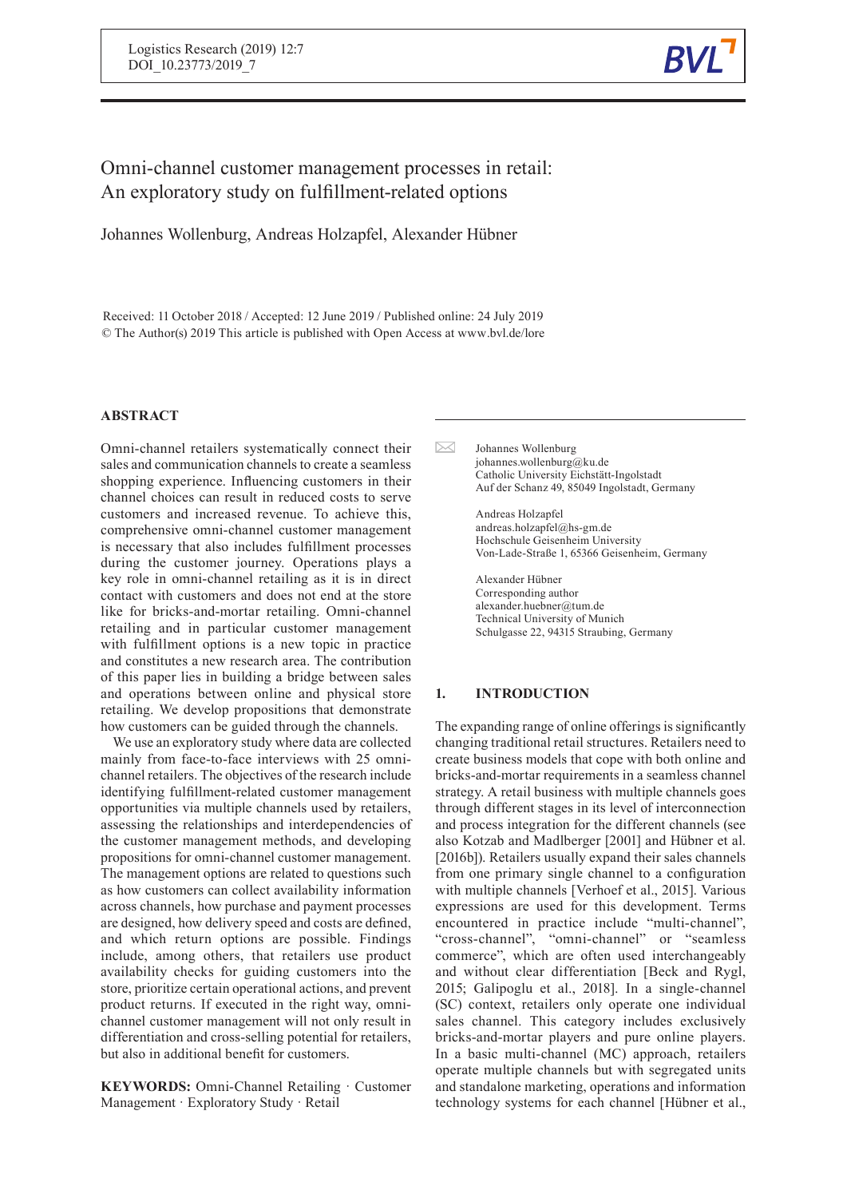

# Omni-channel customer management processes in retail: An exploratory study on fulfillment-related options

Johannes Wollenburg, Andreas Holzapfel, Alexander Hübner

Received: 11 October 2018 / Accepted: 12 June 2019 / Published online: 24 July 2019 © The Author(s) 2019 This article is published with Open Access at www.bvl.de/lore

## **ABSTRACT**

Omni-channel retailers systematically connect their sales and communication channels to create a seamless shopping experience. Influencing customers in their channel choices can result in reduced costs to serve customers and increased revenue. To achieve this, comprehensive omni-channel customer management is necessary that also includes fulfillment processes during the customer journey. Operations plays a key role in omni-channel retailing as it is in direct contact with customers and does not end at the store like for bricks-and-mortar retailing. Omni-channel retailing and in particular customer management with fulfillment options is a new topic in practice and constitutes a new research area. The contribution of this paper lies in building a bridge between sales and operations between online and physical store retailing. We develop propositions that demonstrate how customers can be guided through the channels.

We use an exploratory study where data are collected mainly from face-to-face interviews with 25 omnichannel retailers. The objectives of the research include identifying fulfillment-related customer management opportunities via multiple channels used by retailers, assessing the relationships and interdependencies of the customer management methods, and developing propositions for omni-channel customer management. The management options are related to questions such as how customers can collect availability information across channels, how purchase and payment processes are designed, how delivery speed and costs are defined, and which return options are possible. Findings include, among others, that retailers use product availability checks for guiding customers into the store, prioritize certain operational actions, and prevent product returns. If executed in the right way, omnichannel customer management will not only result in differentiation and cross-selling potential for retailers, but also in additional benefit for customers.

**KEYWORDS:** Omni-Channel Retailing · Customer Management · Exploratory Study · Retail

 $\mathbb{R}$ Johannes Wollenburg johannes.wollenburg@ku.de Catholic University Eichstätt-Ingolstadt Auf der Schanz 49, 85049 Ingolstadt, Germany

> Andreas Holzapfel andreas.holzapfel@hs-gm.de Hochschule Geisenheim University Von-Lade-Straße 1, 65366 Geisenheim, Germany

Alexander Hübner Corresponding author alexander.huebner@tum.de Technical University of Munich Schulgasse 22, 94315 Straubing, Germany

## **1. INTRODUCTION**

The expanding range of online offerings is significantly changing traditional retail structures. Retailers need to create business models that cope with both online and bricks-and-mortar requirements in a seamless channel strategy. A retail business with multiple channels goes through different stages in its level of interconnection and process integration for the different channels (see also Kotzab and Madlberger [2001] and Hübner et al. [2016b]). Retailers usually expand their sales channels from one primary single channel to a configuration with multiple channels [Verhoef et al., 2015]. Various expressions are used for this development. Terms encountered in practice include "multi-channel", "cross-channel", "omni-channel" or "seamless commerce", which are often used interchangeably and without clear differentiation [Beck and Rygl, 2015; Galipoglu et al., 2018]. In a single-channel (SC) context, retailers only operate one individual sales channel. This category includes exclusively bricks-and-mortar players and pure online players. In a basic multi-channel (MC) approach, retailers operate multiple channels but with segregated units and standalone marketing, operations and information technology systems for each channel [Hübner et al.,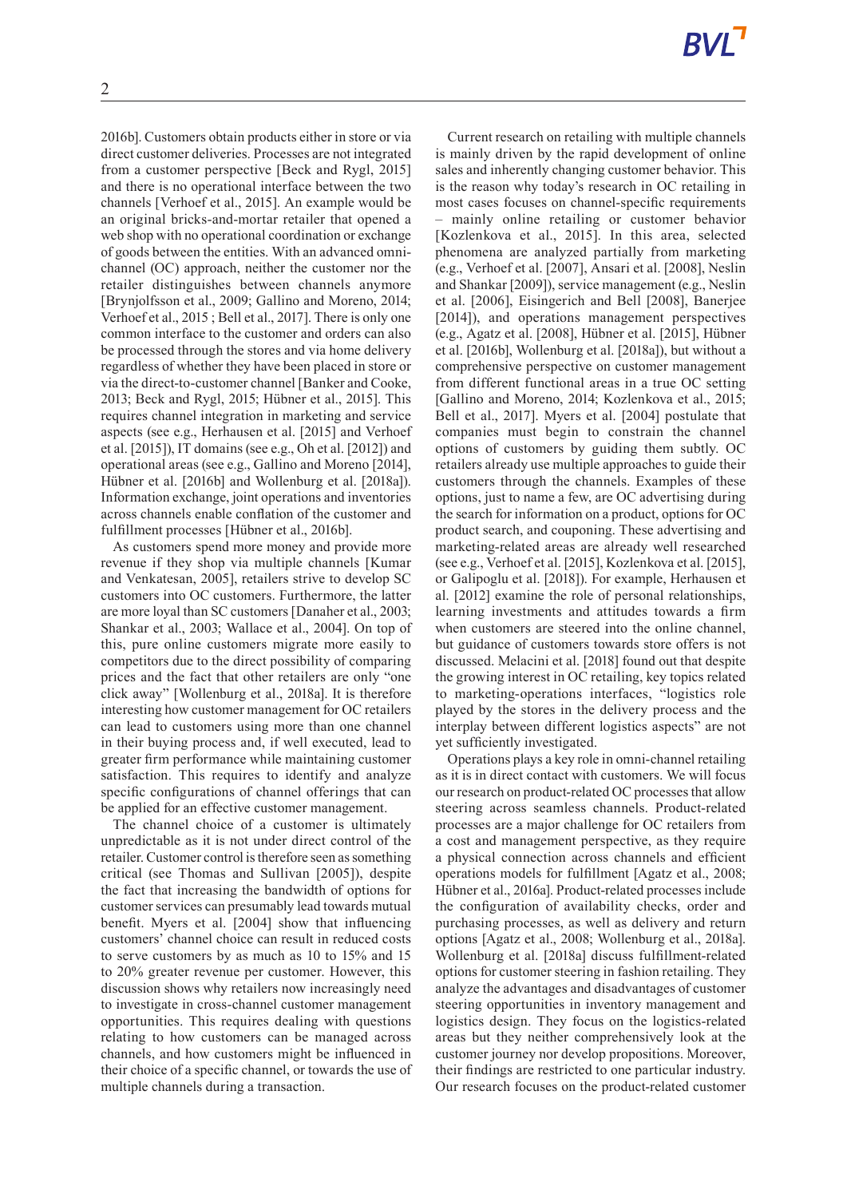2016b]. Customers obtain products either in store or via direct customer deliveries.Processes are not integrated from a customer perspective [Beck and Rygl, 2015] and there is no operational interface between the two channels [Verhoef et al., 2015]. An example would be an original bricks-and-mortar retailer that opened a web shop with no operational coordination or exchange of goods between the entities. With an advanced omnichannel (OC) approach, neither the customer nor the retailer distinguishes between channels anymore [Brynjolfsson et al., 2009; Gallino and Moreno, 2014; Verhoef et al., 2015 ; Bell et al., 2017]. There is only one common interface to the customer and orders can also be processed through the stores and via home delivery regardless of whether they have been placed in store or via the direct-to-customer channel [Banker and Cooke, 2013; Beck and Rygl, 2015; Hübner et al., 2015]. This requires channel integration in marketing and service aspects (see e.g., Herhausen et al. [2015] and Verhoef et al. [2015]), IT domains (see e.g., Oh et al. [2012]) and operational areas (see e.g., Gallino and Moreno [2014], Hübner et al. [2016b] and Wollenburg et al. [2018a]). Information exchange, joint operations and inventories across channels enable conflation of the customer and fulfillment processes [Hübner et al., 2016b].

As customers spend more money and provide more revenue if they shop via multiple channels [Kumar and Venkatesan, 2005], retailers strive to develop SC customers into OC customers. Furthermore, the latter are more loyal than SC customers [Danaher et al., 2003; Shankar et al., 2003; Wallace et al., 2004]. On top of this, pure online customers migrate more easily to competitors due to the direct possibility of comparing prices and the fact that other retailers are only "one click away" [Wollenburg et al., 2018a]. It is therefore interesting how customer management for OC retailers can lead to customers using more than one channel in their buying process and, if well executed, lead to greater firm performance while maintaining customer satisfaction. This requires to identify and analyze specific configurations of channel offerings that can be applied for an effective customer management.

The channel choice of a customer is ultimately unpredictable as it is not under direct control of the retailer. Customer control is therefore seen as something critical (see Thomas and Sullivan [2005]), despite the fact that increasing the bandwidth of options for customer services can presumably lead towards mutual benefit. Myers et al. [2004] show that influencing customers' channel choice can result in reduced costs to serve customers by as much as 10 to 15% and 15 to 20% greater revenue per customer. However, this discussion shows why retailers now increasingly need to investigate in cross-channel customer management opportunities. This requires dealing with questions relating to how customers can be managed across channels, and how customers might be influenced in their choice of a specific channel, or towards the use of multiple channels during a transaction.

Current research on retailing with multiple channels is mainly driven by the rapid development of online sales and inherently changing customer behavior. This is the reason why today's research in OC retailing in most cases focuses on channel-specific requirements – mainly online retailing or customer behavior [Kozlenkova et al., 2015]. In this area, selected phenomena are analyzed partially from marketing (e.g., Verhoef et al. [2007], Ansari et al. [2008], Neslin and Shankar [2009]), service management (e.g., Neslin et al. [2006], Eisingerich and Bell [2008], Banerjee [2014]), and operations management perspectives (e.g., Agatz et al. [2008], Hübner et al. [2015], Hübner et al. [2016b], Wollenburg et al. [2018a]), but without a comprehensive perspective on customer management from different functional areas in a true OC setting [Gallino and Moreno, 2014; Kozlenkova et al., 2015; Bell et al., 2017]. Myers et al. [2004] postulate that companies must begin to constrain the channel options of customers by guiding them subtly. OC retailers already use multiple approaches to guide their customers through the channels. Examples of these options, just to name a few, are OC advertising during the search for information on a product, options for OC product search, and couponing. These advertising and marketing-related areas are already well researched (see e.g., Verhoef et al. [2015], Kozlenkova et al. [2015], or Galipoglu et al. [2018]). For example, Herhausen et al. [2012] examine the role of personal relationships, learning investments and attitudes towards a firm when customers are steered into the online channel, but guidance of customers towards store offers is not discussed. Melacini et al. [2018] found out that despite the growing interest in OC retailing, key topics related to marketing-operations interfaces, "logistics role played by the stores in the delivery process and the interplay between different logistics aspects" are not yet sufficiently investigated.

Operations plays a key role in omni-channel retailing as it is in direct contact with customers. We will focus our research on product-related OC processes that allow steering across seamless channels. Product-related processes are a major challenge for OC retailers from a cost and management perspective, as they require a physical connection across channels and efficient operations models for fulfillment [Agatz et al., 2008; Hübner et al., 2016a]. Product-related processes include the configuration of availability checks, order and purchasing processes, as well as delivery and return options [Agatz et al., 2008; Wollenburg et al., 2018a]. Wollenburg et al. [2018a] discuss fulfillment-related options for customer steering in fashion retailing. They analyze the advantages and disadvantages of customer steering opportunities in inventory management and logistics design. They focus on the logistics-related areas but they neither comprehensively look at the customer journey nor develop propositions. Moreover, their findings are restricted to one particular industry. Our research focuses on the product-related customer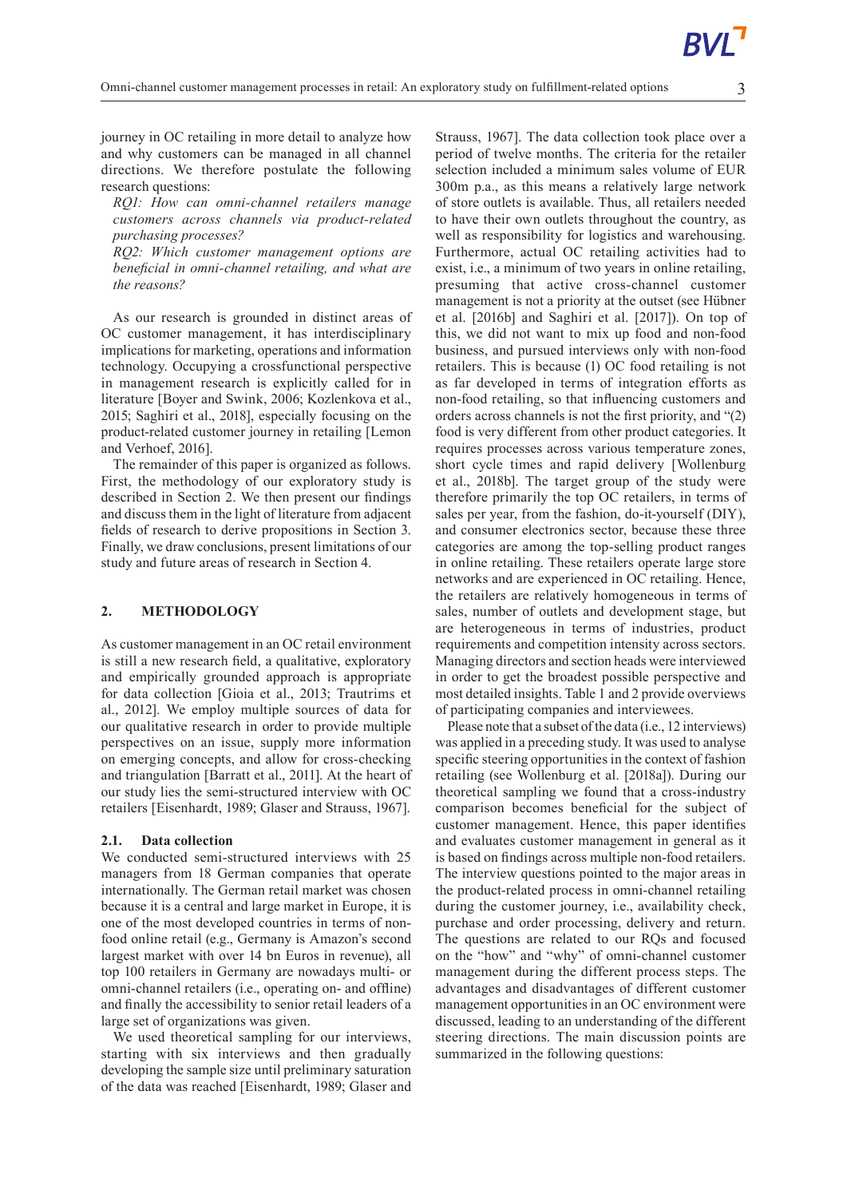journey in OC retailing in more detail to analyze how and why customers can be managed in all channel directions. We therefore postulate the following research questions:

*RQ1: How can omni-channel retailers manage customers across channels via product-related purchasing processes?*

*RQ2: Which customer management options are beneficial in omni-channel retailing, and what are the reasons?*

As our research is grounded in distinct areas of OC customer management, it has interdisciplinary implications for marketing, operations and information technology. Occupying a crossfunctional perspective in management research is explicitly called for in literature [Boyer and Swink, 2006; Kozlenkova et al., 2015; Saghiri et al., 2018], especially focusing on the product-related customer journey in retailing [Lemon and Verhoef, 2016].

The remainder of this paper is organized as follows. First, the methodology of our exploratory study is described in Section 2. We then present our findings and discuss them in the light of literature from adjacent fields of research to derive propositions in Section 3. Finally, we draw conclusions, present limitations of our study and future areas of research in Section 4.

#### **2. METHODOLOGY**

As customer management in an OC retail environment is still a new research field, a qualitative, exploratory and empirically grounded approach is appropriate for data collection [Gioia et al., 2013; Trautrims et al., 2012]. We employ multiple sources of data for our qualitative research in order to provide multiple perspectives on an issue, supply more information on emerging concepts, and allow for cross-checking and triangulation [Barratt et al., 2011]. At the heart of our study lies the semi-structured interview with OC retailers [Eisenhardt, 1989; Glaser and Strauss, 1967].

#### **2.1. Data collection**

We conducted semi-structured interviews with 25 managers from 18 German companies that operate internationally. The German retail market was chosen because it is a central and large market in Europe, it is one of the most developed countries in terms of nonfood online retail (e.g., Germany is Amazon's second largest market with over 14 bn Euros in revenue), all top 100 retailers in Germany are nowadays multi- or omni-channel retailers (i.e., operating on- and offline) and finally the accessibility to senior retail leaders of a large set of organizations was given.

We used theoretical sampling for our interviews, starting with six interviews and then gradually developing the sample size until preliminary saturation of the data was reached [Eisenhardt, 1989; Glaser and Strauss, 1967]. The data collection took place over a period of twelve months. The criteria for the retailer selection included a minimum sales volume of EUR 300m p.a., as this means a relatively large network of store outlets is available. Thus, all retailers needed to have their own outlets throughout the country, as well as responsibility for logistics and warehousing. Furthermore, actual OC retailing activities had to exist, i.e., a minimum of two years in online retailing, presuming that active cross-channel customer management is not a priority at the outset (see Hübner et al. [2016b] and Saghiri et al. [2017]). On top of this, we did not want to mix up food and non-food business, and pursued interviews only with non-food retailers. This is because (1) OC food retailing is not as far developed in terms of integration efforts as non-food retailing, so that influencing customers and orders across channels is not the first priority, and "(2) food is very different from other product categories. It requires processes across various temperature zones, short cycle times and rapid delivery [Wollenburg et al., 2018b]. The target group of the study were therefore primarily the top OC retailers, in terms of sales per year, from the fashion, do-it-yourself (DIY), and consumer electronics sector, because these three categories are among the top-selling product ranges in online retailing. These retailers operate large store networks and are experienced in OC retailing. Hence, the retailers are relatively homogeneous in terms of sales, number of outlets and development stage, but are heterogeneous in terms of industries, product requirements and competition intensity across sectors. Managing directors and section heads were interviewed in order to get the broadest possible perspective and most detailed insights. Table 1 and 2 provide overviews of participating companies and interviewees.

Please note that a subset of the data (i.e., 12 interviews) was applied in a preceding study. It was used to analyse specific steering opportunities in the context of fashion retailing (see Wollenburg et al. [2018a]). During our theoretical sampling we found that a cross-industry comparison becomes beneficial for the subject of customer management. Hence, this paper identifies and evaluates customer management in general as it is based on findings across multiple non-food retailers. The interview questions pointed to the major areas in the product-related process in omni-channel retailing during the customer journey, i.e., availability check, purchase and order processing, delivery and return. The questions are related to our RQs and focused on the "how" and "why" of omni-channel customer management during the different process steps. The advantages and disadvantages of different customer management opportunities in an OC environment were discussed, leading to an understanding of the different steering directions. The main discussion points are summarized in the following questions: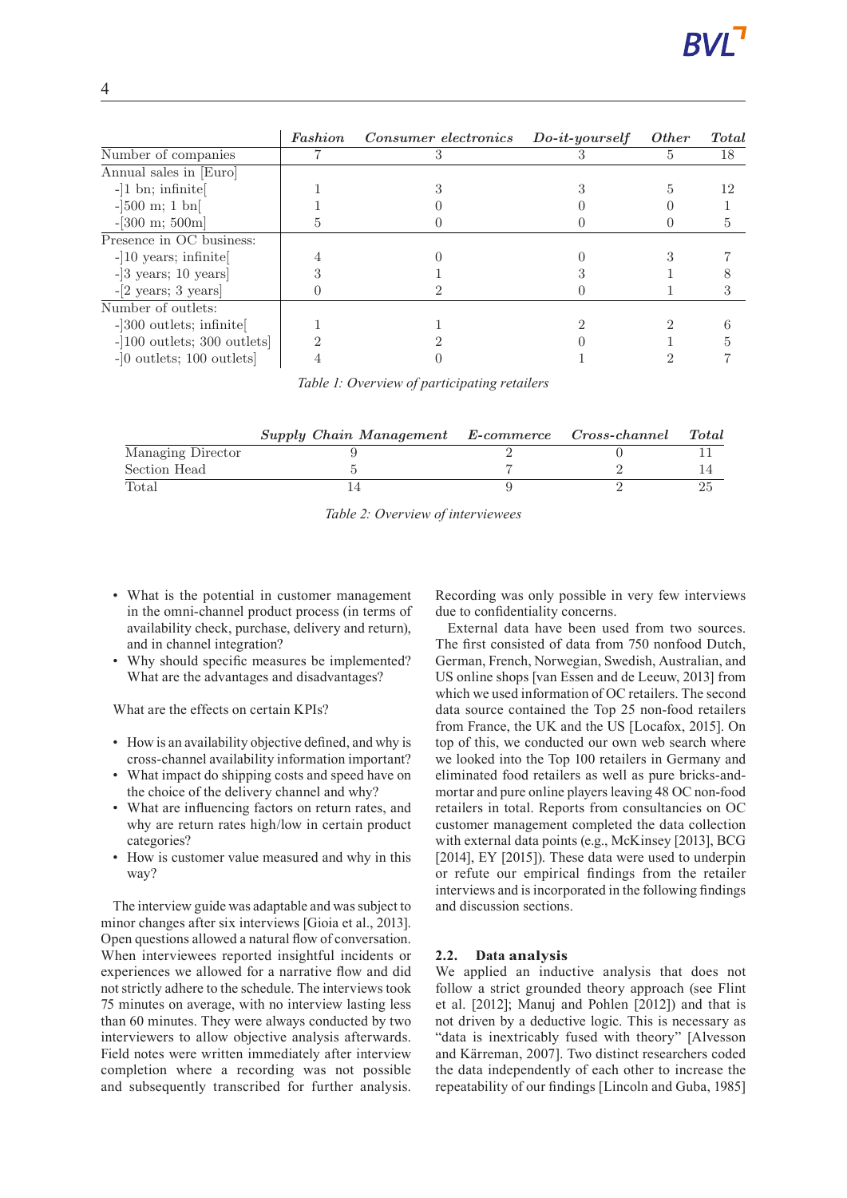|                                           | Fashion | Consumer electronics | $Do-it\text{-}yourself$ | <i>Other</i> | <b>Total</b> |
|-------------------------------------------|---------|----------------------|-------------------------|--------------|--------------|
| Number of companies                       |         |                      |                         | 5.           | 18           |
| Annual sales in [Euro]                    |         |                      |                         |              |              |
| $-1$ bn; infinite                         |         |                      |                         |              | 12           |
| $-300$ m; 1 bn                            |         |                      |                         |              |              |
| $-[300 \; \mathrm{m}; \; 500 \mathrm{m}]$ |         |                      |                         |              |              |
| Presence in OC business:                  |         |                      |                         |              |              |
| $-10$ years; infinite                     |         |                      |                         |              |              |
| $-3$ years; 10 years]                     |         |                      |                         |              |              |
| $-[2 \text{ years}; 3 \text{ years}]$     |         |                      |                         |              |              |
| Number of outlets:                        |         |                      |                         |              |              |
| $-300$ outlets; infinite                  |         |                      |                         |              |              |
| $-100$ outlets; 300 outlets               |         |                      |                         |              |              |
| $-0$ outlets; 100 outlets                 |         |                      |                         |              |              |

Table 1: Overview of participating retailers *Table 1: Overview of participating retailers*

|                   | Supply Chain Management E-commerce Cross-channel Total |  |  |
|-------------------|--------------------------------------------------------|--|--|
| Managing Director |                                                        |  |  |
| Section Head      |                                                        |  |  |
| Total             |                                                        |  |  |

*Table 2: Overview of interviewees*

- What is the potential in customer management in the omni-channel product process (in terms of availability check, purchase, delivery and return), and in channel integration?
- Why should specific measures be implemented? What are the advantages and disadvantages?

What are the effects on certain KPIs?

- How is an availability objective defined, and why is cross-channel availability information important?
- What impact do shipping costs and speed have on the choice of the delivery channel and why?
- What are influencing factors on return rates, and why are return rates high/low in certain product categories?
- How is customer value measured and why in this way?

The interview guide was adaptable and was subject to minor changes after six interviews [Gioia et al., 2013]. Open questions allowed a natural flow of conversation. When interviewees reported insightful incidents or experiences we allowed for a narrative flow and did not strictly adhere to the schedule. The interviews took 75 minutes on average, with no interview lasting less than 60 minutes. They were always conducted by two interviewers to allow objective analysis afterwards. Field notes were written immediately after interview completion where a recording was not possible and subsequently transcribed for further analysis.

Recording was only possible in very few interviews due to confidentiality concerns.

External data have been used from two sources. The first consisted of data from 750 nonfood Dutch, German, French, Norwegian, Swedish, Australian, and US online shops [van Essen and de Leeuw, 2013] from which we used information of OC retailers. The second data source contained the Top 25 non-food retailers from France, the UK and the US [Locafox, 2015]. On top of this, we conducted our own web search where we looked into the Top 100 retailers in Germany and eliminated food retailers as well as pure bricks-andmortar and pure online players leaving 48 OC non-food retailers in total. Reports from consultancies on OC customer management completed the data collection with external data points (e.g., McKinsey [2013], BCG [2014], EY [2015]). These data were used to underpin or refute our empirical findings from the retailer interviews and is incorporated in the following findings and discussion sections.

## **2.2. Data analysis**

We applied an inductive analysis that does not follow a strict grounded theory approach (see Flint et al. [2012]; Manuj and Pohlen [2012]) and that is not driven by a deductive logic. This is necessary as "data is inextricably fused with theory" [Alvesson and Kärreman, 2007]. Two distinct researchers coded the data independently of each other to increase the repeatability of our findings [Lincoln and Guba, 1985]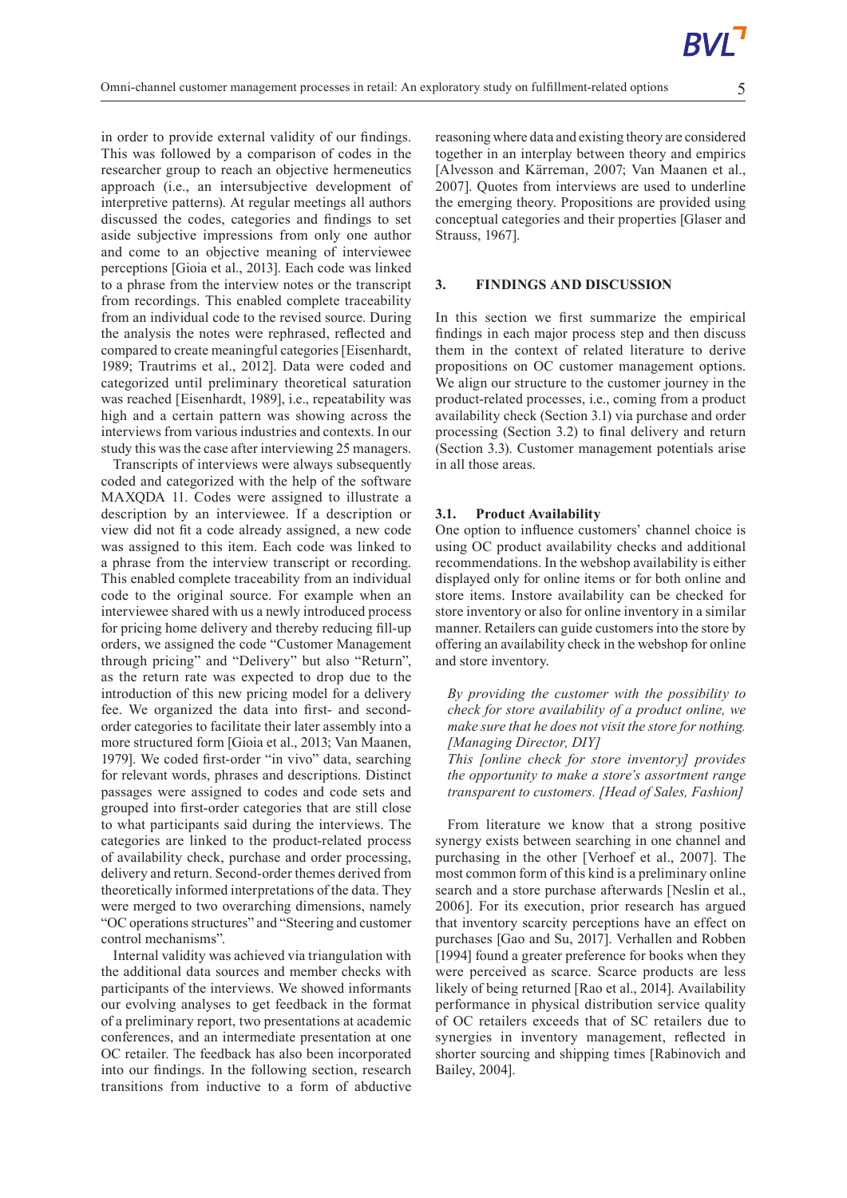in order to provide external validity of our findings. This was followed by a comparison of codes in the researcher group to reach an objective hermeneutics approach (i.e., an intersubjective development of interpretive patterns). At regular meetings all authors discussed the codes, categories and findings to set aside subjective impressions from only one author and come to an objective meaning of interviewee perceptions [Gioia et al., 2013]. Each code was linked to a phrase from the interview notes or the transcript from recordings. This enabled complete traceability from an individual code to the revised source. During the analysis the notes were rephrased, reflected and compared to create meaningful categories [Eisenhardt, 1989; Trautrims et al., 2012]. Data were coded and categorized until preliminary theoretical saturation was reached [Eisenhardt, 1989], i.e., repeatability was high and a certain pattern was showing across the interviews from various industries and contexts. In our study this was the case after interviewing 25 managers.

Transcripts of interviews were always subsequently coded and categorized with the help of the software MAXQDA 11. Codes were assigned to illustrate a description by an interviewee. If a description or view did not fit a code already assigned, a new code was assigned to this item. Each code was linked to a phrase from the interview transcript or recording. This enabled complete traceability from an individual code to the original source. For example when an interviewee shared with us a newly introduced process for pricing home delivery and thereby reducing fill-up orders, we assigned the code "Customer Management through pricing" and "Delivery" but also "Return", as the return rate was expected to drop due to the introduction of this new pricing model for a delivery fee. We organized the data into first- and secondorder categories to facilitate their later assembly into a more structured form [Gioia et al., 2013; Van Maanen, 1979]. We coded first-order "in vivo" data, searching for relevant words, phrases and descriptions. Distinct passages were assigned to codes and code sets and grouped into first-order categories that are still close to what participants said during the interviews. The categories are linked to the product-related process of availability check, purchase and order processing, delivery and return. Second-order themes derived from theoretically informed interpretations of the data. They were merged to two overarching dimensions, namely "OC operations structures" and "Steering and customer" control mechanisms".

Internal validity was achieved via triangulation with the additional data sources and member checks with participants of the interviews. We showed informants our evolving analyses to get feedback in the format of a preliminary report, two presentations at academic conferences, and an intermediate presentation at one OC retailer. The feedback has also been incorporated into our findings. In the following section, research transitions from inductive to a form of abductive

reasoning where data and existing theory are considered together in an interplay between theory and empirics [Alvesson and Kärreman, 2007; Van Maanen et al., 2007]. Quotes from interviews are used to underline the emerging theory. Propositions are provided using conceptual categories and their properties [Glaser and Strauss, 1967].

#### **3. FINDINGS AND DISCUSSION**

In this section we first summarize the empirical findings in each major process step and then discuss them in the context of related literature to derive propositions on OC customer management options. We align our structure to the customer journey in the product-related processes, i.e., coming from a product availability check (Section 3.1) via purchase and order processing (Section 3.2) to final delivery and return (Section 3.3). Customer management potentials arise in all those areas.

#### **3.1. Product Availability**

One option to influence customers' channel choice is using OC product availability checks and additional recommendations. In the webshop availability is either displayed only for online items or for both online and store items. Instore availability can be checked for store inventory or also for online inventory in a similar manner. Retailers can guide customers into the store by offering an availability check in the webshop for online and store inventory.

*By providing the customer with the possibility to check for store availability of a product online, we make sure that he does not visit the store for nothing. [Managing Director, DIY]*

*This [online check for store inventory] provides the opportunity to make a store's assortment range transparent to customers. [Head of Sales, Fashion]*

From literature we know that a strong positive synergy exists between searching in one channel and purchasing in the other [Verhoef et al., 2007]. The most common form of this kind is a preliminary online search and a store purchase afterwards [Neslin et al., 2006]. For its execution, prior research has argued that inventory scarcity perceptions have an effect on purchases [Gao and Su, 2017]. Verhallen and Robben [1994] found a greater preference for books when they were perceived as scarce. Scarce products are less likely of being returned [Rao et al., 2014]. Availability performance in physical distribution service quality of OC retailers exceeds that of SC retailers due to synergies in inventory management, reflected in shorter sourcing and shipping times [Rabinovich and Bailey, 2004].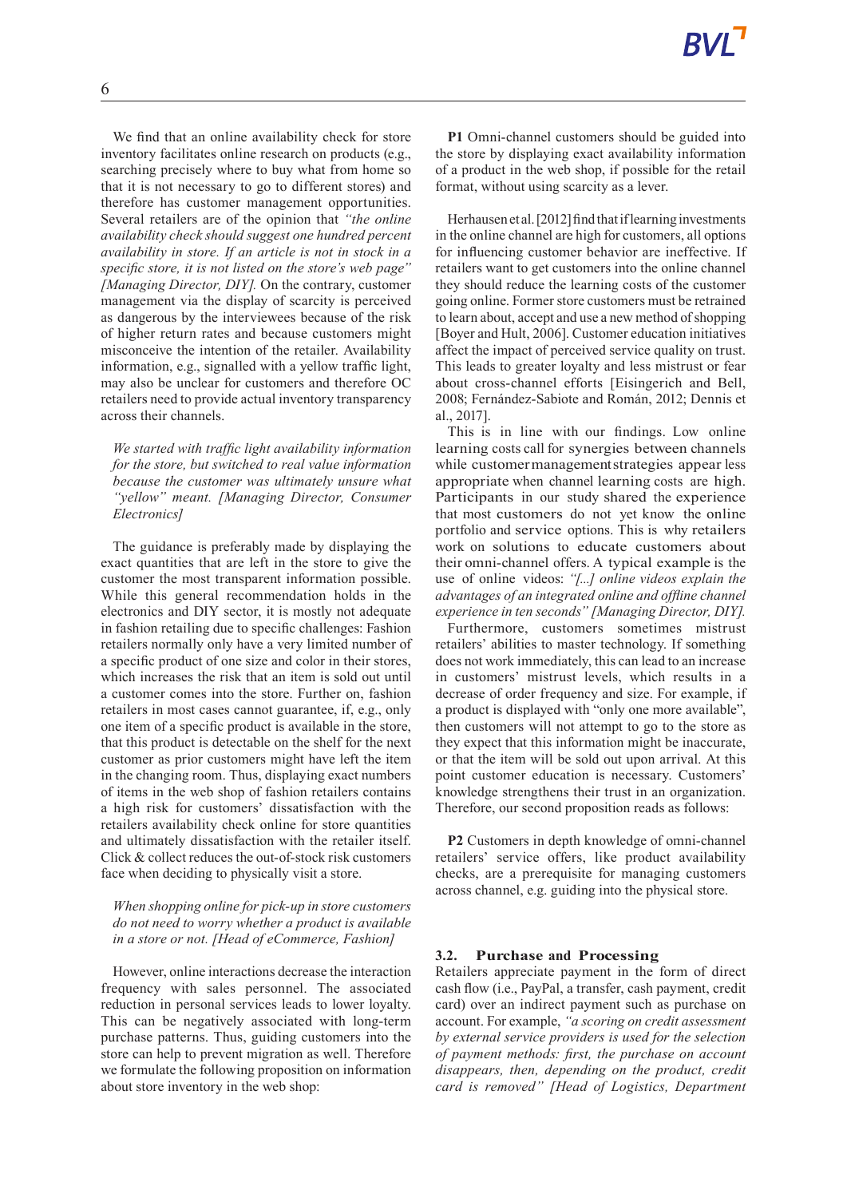We find that an online availability check for store inventory facilitates online research on products (e.g., searching precisely where to buy what from home so that it is not necessary to go to different stores) and therefore has customer management opportunities. Several retailers are of the opinion that *"the online availability check should suggest one hundred percent availability in store. If an article is not in stock in a specific store, it is not listed on the store's web page" [Managing Director, DIY].* On the contrary, customer management via the display of scarcity is perceived as dangerous by the interviewees because of the risk of higher return rates and because customers might misconceive the intention of the retailer. Availability information, e.g., signalled with a yellow traffic light, may also be unclear for customers and therefore OC retailers need to provide actual inventory transparency across their channels.

*We started with traffic light availability information for the store, but switched to real value information because the customer was ultimately unsure what "yellow" meant. [Managing Director, Consumer Electronics]*

The guidance is preferably made by displaying the exact quantities that are left in the store to give the customer the most transparent information possible. While this general recommendation holds in the electronics and DIY sector, it is mostly not adequate in fashion retailing due to specific challenges: Fashion retailers normally only have a very limited number of a specific product of one size and color in their stores, which increases the risk that an item is sold out until a customer comes into the store. Further on, fashion retailers in most cases cannot guarantee, if, e.g., only one item of a specific product is available in the store, that this product is detectable on the shelf for the next customer as prior customers might have left the item in the changing room. Thus, displaying exact numbers of items in the web shop of fashion retailers contains a high risk for customers' dissatisfaction with the retailers availability check online for store quantities and ultimately dissatisfaction with the retailer itself. Click & collect reduces the out-of-stock risk customers face when deciding to physically visit a store.

## *When shopping online for pick-up in store customers do not need to worry whether a product is available in a store or not. [Head of eCommerce, Fashion]*

However, online interactions decrease the interaction frequency with sales personnel. The associated reduction in personal services leads to lower loyalty. This can be negatively associated with long-term purchase patterns. Thus, guiding customers into the store can help to prevent migration as well. Therefore we formulate the following proposition on information about store inventory in the web shop:

**P1** Omni-channel customers should be guided into the store by displaying exact availability information of a product in the web shop, if possible for the retail format, without using scarcity as a lever.

Herhausen et al. [2012] find that if learning investments in the online channel are high for customers, all options for influencing customer behavior are ineffective. If retailers want to get customers into the online channel they should reduce the learning costs of the customer going online. Former store customers must be retrained to learn about, accept and use a new method of shopping [Boyer and Hult, 2006]. Customer education initiatives affect the impact of perceived service quality on trust. This leads to greater loyalty and less mistrust or fear about cross-channel efforts [Eisingerich and Bell, 2008; Fernández-Sabiote and Román, 2012; Dennis et al., 2017].

This is in line with our findings. Low online learning costs call for synergies between channels while customermanagementstrategies appear less appropriate when channel learning costs are high. Participants in our study shared the experience that most customers do not yet know the online portfolio and service options. This is why retailers work on solutions to educate customers about their omni-channel offers. A typical example is the use of online videos: *"[...] online videos explain the advantages of an integrated online and offline channel experience in ten seconds"[Managing Director, DIY].*

Furthermore, customers sometimes mistrust retailers' abilities to master technology. If something does not work immediately, this can lead to an increase in customers' mistrust levels, which results in a decrease of order frequency and size. For example, if a product is displayed with "only one more available", then customers will not attempt to go to the store as they expect that this information might be inaccurate, or that the item will be sold out upon arrival. At this point customer education is necessary. Customers' knowledge strengthens their trust in an organization. Therefore, our second proposition reads as follows:

**P2** Customers in depth knowledge of omni-channel retailers' service offers, like product availability checks, are a prerequisite for managing customers across channel, e.g. guiding into the physical store.

#### **3.2. Purchase and Processing**

Retailers appreciate payment in the form of direct cash flow (i.e., PayPal, a transfer, cash payment, credit card) over an indirect payment such as purchase on account. For example, *"a scoring on credit assessment by external service providers is used for the selection of payment methods: first, the purchase on account disappears, then, depending on the product, credit card is removed" [Head of Logistics, Department*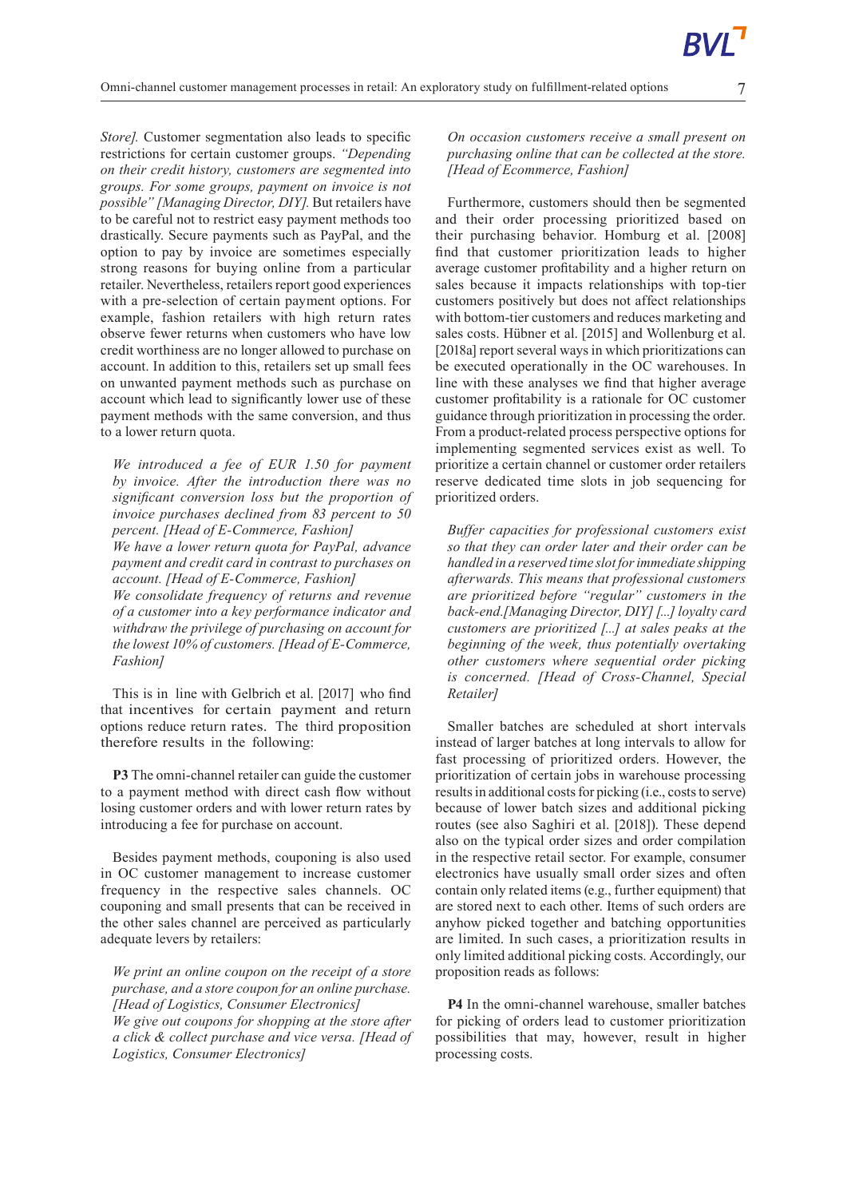*Store]*. Customer segmentation also leads to specific restrictions for certain customer groups. *"Depending on their credit history, customers are segmented into groups. For some groups, payment on invoice is not possible"[Managing Director, DIY].* But retailers have to be careful not to restrict easy payment methods too drastically. Secure payments such as PayPal, and the option to pay by invoice are sometimes especially strong reasons for buying online from a particular retailer. Nevertheless, retailers report good experiences with a pre-selection of certain payment options. For example, fashion retailers with high return rates observe fewer returns when customers who have low credit worthiness are no longer allowed to purchase on account. In addition to this, retailers set up small fees on unwanted payment methods such as purchase on account which lead to significantly lower use of these payment methods with the same conversion, and thus to a lower return quota.

*We introduced a fee of EUR 1.50 for payment by invoice. After the introduction there was no significant conversion loss but the proportion of invoice purchases declined from 83 percent to 50 percent. [Head of E-Commerce, Fashion]*

*We have a lower return quota for PayPal, advance payment and credit card in contrast to purchases on account. [Head of E-Commerce, Fashion]*

*We consolidate frequency of returns and revenue of a customer into a key performance indicator and withdraw the privilege of purchasing on account for the lowest 10% of customers. [Head of E-Commerce, Fashion]*

This is in line with Gelbrich et al. [2017] who find that incentives for certain payment and return options reduce return rates. The third proposition therefore results in the following:

**P3** The omni-channel retailer can guide the customer to a payment method with direct cash flow without losing customer orders and with lower return rates by introducing a fee for purchase on account.

Besides payment methods, couponing is also used in OC customer management to increase customer frequency in the respective sales channels. OC couponing and small presents that can be received in the other sales channel are perceived as particularly adequate levers by retailers:

*We print an online coupon on the receipt of a store purchase, and a store coupon for an online purchase. [Head of Logistics, Consumer Electronics] We give out coupons for shopping at the store after a click & collect purchase and vice versa. [Head of Logistics, Consumer Electronics]*

*On occasion customers receive a small present on purchasing online that can be collected at the store. [Head of Ecommerce, Fashion]*

Furthermore, customers should then be segmented and their order processing prioritized based on their purchasing behavior. Homburg et al. [2008] find that customer prioritization leads to higher average customer profitability and a higher return on sales because it impacts relationships with top-tier customers positively but does not affect relationships with bottom-tier customers and reduces marketing and sales costs. Hübner et al. [2015] and Wollenburg et al. [2018a] report several ways in which prioritizations can be executed operationally in the OC warehouses. In line with these analyses we find that higher average customer profitability is a rationale for OC customer guidance through prioritization in processing the order. From a product-related process perspective options for implementing segmented services exist as well. To prioritize a certain channel or customer order retailers reserve dedicated time slots in job sequencing for prioritized orders.

*Buffer capacities for professional customers exist so that they can order later and their order can be handled in a reserved time slot forimmediate shipping afterwards. This means that professional customers are prioritized before "regular" customers in the back-end.[Managing Director, DIY] [...] loyalty card customers are prioritized [...] at sales peaks at the beginning of the week, thus potentially overtaking other customers where sequential order picking is concerned. [Head of Cross-Channel, Special Retailer]*

Smaller batches are scheduled at short intervals instead of larger batches at long intervals to allow for fast processing of prioritized orders. However, the prioritization of certain jobs in warehouse processing results in additional costs for picking (i.e., costs to serve) because of lower batch sizes and additional picking routes (see also Saghiri et al. [2018]). These depend also on the typical order sizes and order compilation in the respective retail sector. For example, consumer electronics have usually small order sizes and often contain only related items (e.g., further equipment) that are stored next to each other. Items of such orders are anyhow picked together and batching opportunities are limited. In such cases, a prioritization results in only limited additional picking costs. Accordingly, our proposition reads as follows:

**P4** In the omni-channel warehouse, smaller batches for picking of orders lead to customer prioritization possibilities that may, however, result in higher processing costs.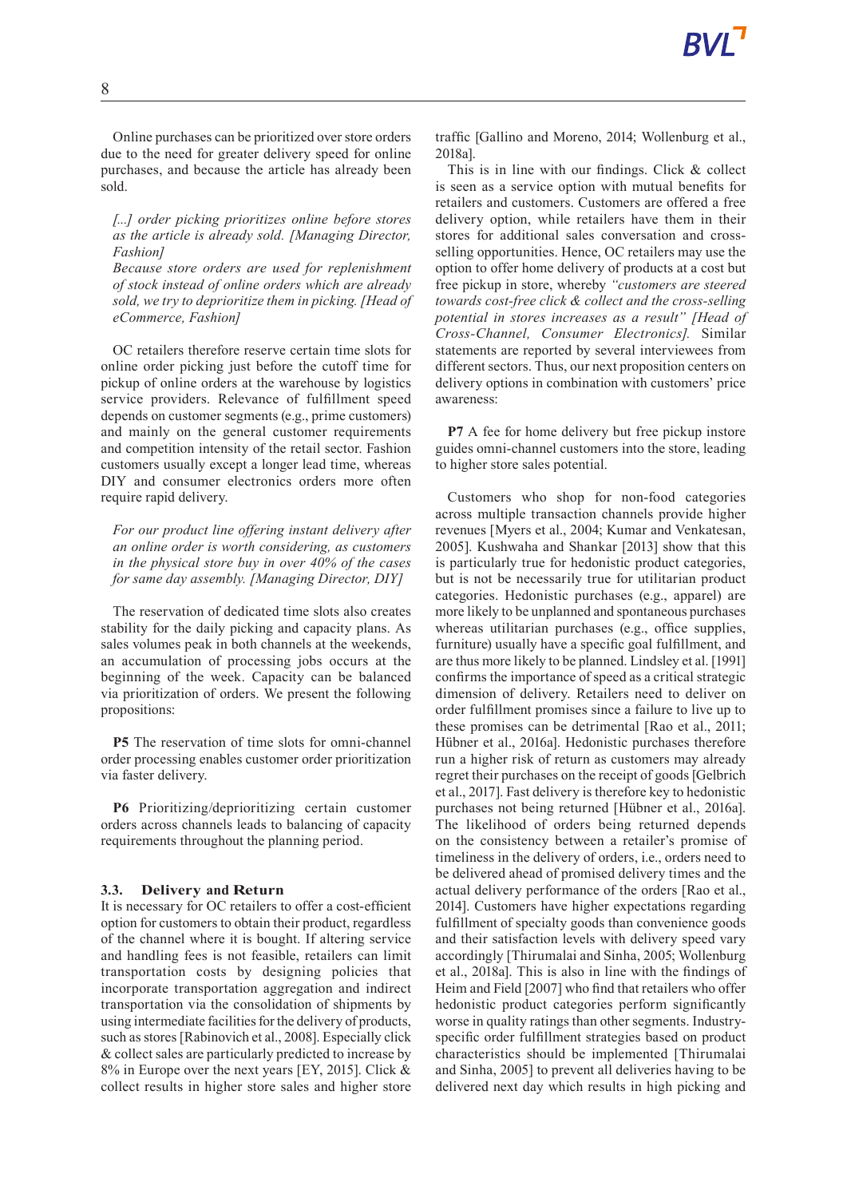Online purchases can be prioritized over store orders due to the need for greater delivery speed for online purchases, and because the article has already been sold.

*[...] order picking prioritizes online before stores as the article is already sold. [Managing Director, Fashion]*

*Because store orders are used for replenishment of stock instead of online orders which are already sold, we try to deprioritize them in picking. [Head of eCommerce, Fashion]*

OC retailers therefore reserve certain time slots for online order picking just before the cutoff time for pickup of online orders at the warehouse by logistics service providers. Relevance of fulfillment speed depends on customer segments (e.g., prime customers) and mainly on the general customer requirements and competition intensity of the retail sector. Fashion customers usually except a longer lead time, whereas DIY and consumer electronics orders more often require rapid delivery.

*For our product line offering instant delivery after an online order is worth considering, as customers in the physical store buy in over 40% of the cases for same day assembly. [Managing Director, DIY]*

The reservation of dedicated time slots also creates stability for the daily picking and capacity plans. As sales volumes peak in both channels at the weekends, an accumulation of processing jobs occurs at the beginning of the week. Capacity can be balanced via prioritization of orders. We present the following propositions:

**P5** The reservation of time slots for omni-channel order processing enables customer order prioritization via faster delivery.

**P6** Prioritizing/deprioritizing certain customer orders across channels leads to balancing of capacity requirements throughout the planning period.

#### **3.3. Delivery and Return**

It is necessary for OC retailers to offer a cost-efficient option for customers to obtain their product, regardless of the channel where it is bought. If altering service and handling fees is not feasible, retailers can limit transportation costs by designing policies that incorporate transportation aggregation and indirect transportation via the consolidation of shipments by using intermediate facilities for the delivery of products, such as stores [Rabinovich et al., 2008]. Especially click & collect sales are particularly predicted to increase by 8% in Europe over the next years [EY, 2015]. Click & collect results in higher store sales and higher store traffic [Gallino and Moreno, 2014; Wollenburg et al., 2018a].

This is in line with our findings. Click & collect is seen as a service option with mutual benefits for retailers and customers. Customers are offered a free delivery option, while retailers have them in their stores for additional sales conversation and crossselling opportunities. Hence, OC retailers may use the option to offer home delivery of products at a cost but free pickup in store, whereby *"customers are steered towards cost-free click & collect and the cross-selling potential in stores increases as a result" [Head of Cross-Channel, Consumer Electronics].* Similar statements are reported by several interviewees from different sectors. Thus, our next proposition centers on delivery options in combination with customers' price awareness:

**P7** A fee for home delivery but free pickup instore guides omni-channel customers into the store, leading to higher store sales potential.

Customers who shop for non-food categories across multiple transaction channels provide higher revenues [Myers et al., 2004; Kumar and Venkatesan, 2005]. Kushwaha and Shankar [2013] show that this is particularly true for hedonistic product categories, but is not be necessarily true for utilitarian product categories. Hedonistic purchases (e.g., apparel) are more likely to be unplanned and spontaneous purchases whereas utilitarian purchases (e.g., office supplies, furniture) usually have a specific goal fulfillment, and are thus more likely to be planned. Lindsley et al. [1991] confirms the importance of speed as a critical strategic dimension of delivery. Retailers need to deliver on order fulfillment promises since a failure to live up to these promises can be detrimental [Rao et al., 2011; Hübner et al., 2016a]. Hedonistic purchases therefore run a higher risk of return as customers may already regret their purchases on the receipt of goods [Gelbrich et al., 2017].Fast delivery is therefore key to hedonistic purchases not being returned [Hübner et al., 2016a]. The likelihood of orders being returned depends on the consistency between a retailer's promise of timeliness in the delivery of orders, i.e., orders need to be delivered ahead of promised delivery times and the actual delivery performance of the orders [Rao et al., 2014]. Customers have higher expectations regarding fulfillment of specialty goods than convenience goods and their satisfaction levels with delivery speed vary accordingly [Thirumalai and Sinha, 2005; Wollenburg et al., 2018a]. This is also in line with the findings of Heim and Field [2007] who find that retailers who offer hedonistic product categories perform significantly worse in quality ratings than other segments. Industryspecific order fulfillment strategies based on product characteristics should be implemented [Thirumalai and Sinha, 2005] to prevent all deliveries having to be delivered next day which results in high picking and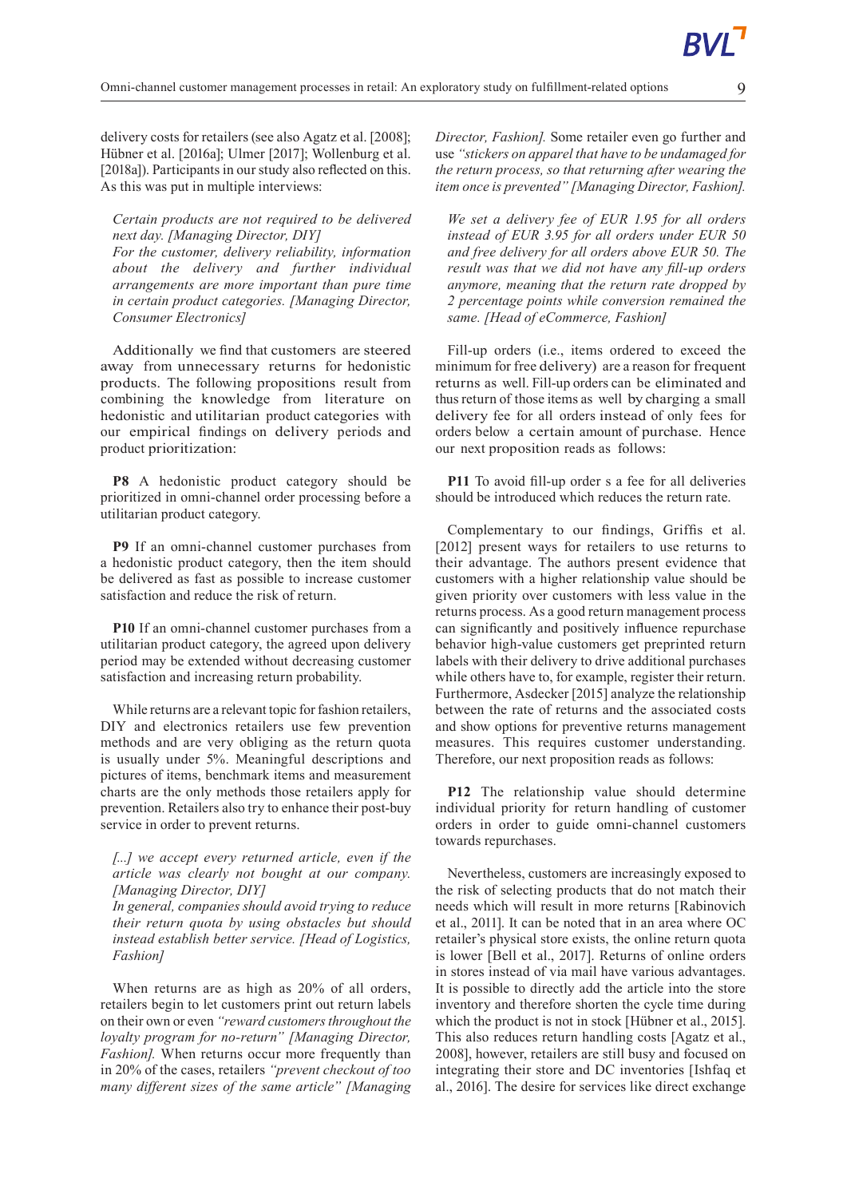delivery costs for retailers (see also Agatz et al. [2008]; Hübner et al. [2016a]; Ulmer [2017]; Wollenburg et al. [2018a]). Participants in our study also reflected on this. As this was put in multiple interviews:

## *Certain products are not required to be delivered next day. [Managing Director, DIY]*

*For the customer, delivery reliability, information about the delivery and further individual arrangements are more important than pure time in certain product categories. [Managing Director, Consumer Electronics]*

Additionally we find that customers are steered away from unnecessary returns for hedonistic products. The following propositions result from combining the knowledge from literature on hedonistic and utilitarian product categories with our empirical findings on delivery periods and product prioritization:

**P8** A hedonistic product category should be prioritized in omni-channel order processing before a utilitarian product category.

**P9** If an omni-channel customer purchases from a hedonistic product category, then the item should be delivered as fast as possible to increase customer satisfaction and reduce the risk of return.

**P10** If an omni-channel customer purchases from a utilitarian product category, the agreed upon delivery period may be extended without decreasing customer satisfaction and increasing return probability.

While returns are a relevant topic for fashion retailers, DIY and electronics retailers use few prevention methods and are very obliging as the return quota is usually under 5%. Meaningful descriptions and pictures of items, benchmark items and measurement charts are the only methods those retailers apply for prevention. Retailers also try to enhance their post-buy service in order to prevent returns.

*[...] we accept every returned article, even if the article was clearly not bought at our company. [Managing Director, DIY]*

*In general, companies should avoid trying to reduce their return quota by using obstacles but should instead establish better service. [Head of Logistics, Fashion]*

When returns are as high as 20% of all orders, retailers begin to let customers print out return labels on their own or even *"reward customersthroughout the loyalty program for no-return" [Managing Director, Fashion].* When returns occur more frequently than in 20% of the cases, retailers *"prevent checkout of too many different sizes of the same article" [Managing* *Director, Fashion].* Some retailer even go further and use *"stickers on apparel that have to be undamaged for the return process, so that returning after wearing the item once is prevented"[Managing Director, Fashion].*

*We set a delivery fee of EUR 1.95 for all orders instead of EUR 3.95 for all orders under EUR 50 and free delivery for all orders above EUR 50. The result was that we did not have any fill-up orders anymore, meaning that the return rate dropped by 2 percentage points while conversion remained the same. [Head of eCommerce, Fashion]*

Fill-up orders (i.e., items ordered to exceed the minimum for free delivery) are a reason for frequent returns as well. Fill-up orders can be eliminated and thus return of those items as well by charging a small delivery fee for all orders instead of only fees for orders below a certain amount of purchase. Hence our next proposition reads as follows:

**P11** To avoid fill-up order s a fee for all deliveries should be introduced which reduces the return rate.

Complementary to our findings, Griffis et al. [2012] present ways for retailers to use returns to their advantage. The authors present evidence that customers with a higher relationship value should be given priority over customers with less value in the returns process. As a good return management process can significantly and positively influence repurchase behavior high-value customers get preprinted return labels with their delivery to drive additional purchases while others have to, for example, register their return. Furthermore, Asdecker [2015] analyze the relationship between the rate of returns and the associated costs and show options for preventive returns management measures. This requires customer understanding. Therefore, our next proposition reads as follows:

**P12** The relationship value should determine individual priority for return handling of customer orders in order to guide omni-channel customers towards repurchases.

Nevertheless, customers are increasingly exposed to the risk of selecting products that do not match their needs which will result in more returns [Rabinovich et al., 2011]. It can be noted that in an area where OC retailer's physical store exists, the online return quota is lower [Bell et al., 2017]. Returns of online orders in stores instead of via mail have various advantages. It is possible to directly add the article into the store inventory and therefore shorten the cycle time during which the product is not in stock [Hübner et al., 2015]. This also reduces return handling costs [Agatz et al., 2008], however, retailers are still busy and focused on integrating their store and DC inventories [Ishfaq et al., 2016]. The desire for services like direct exchange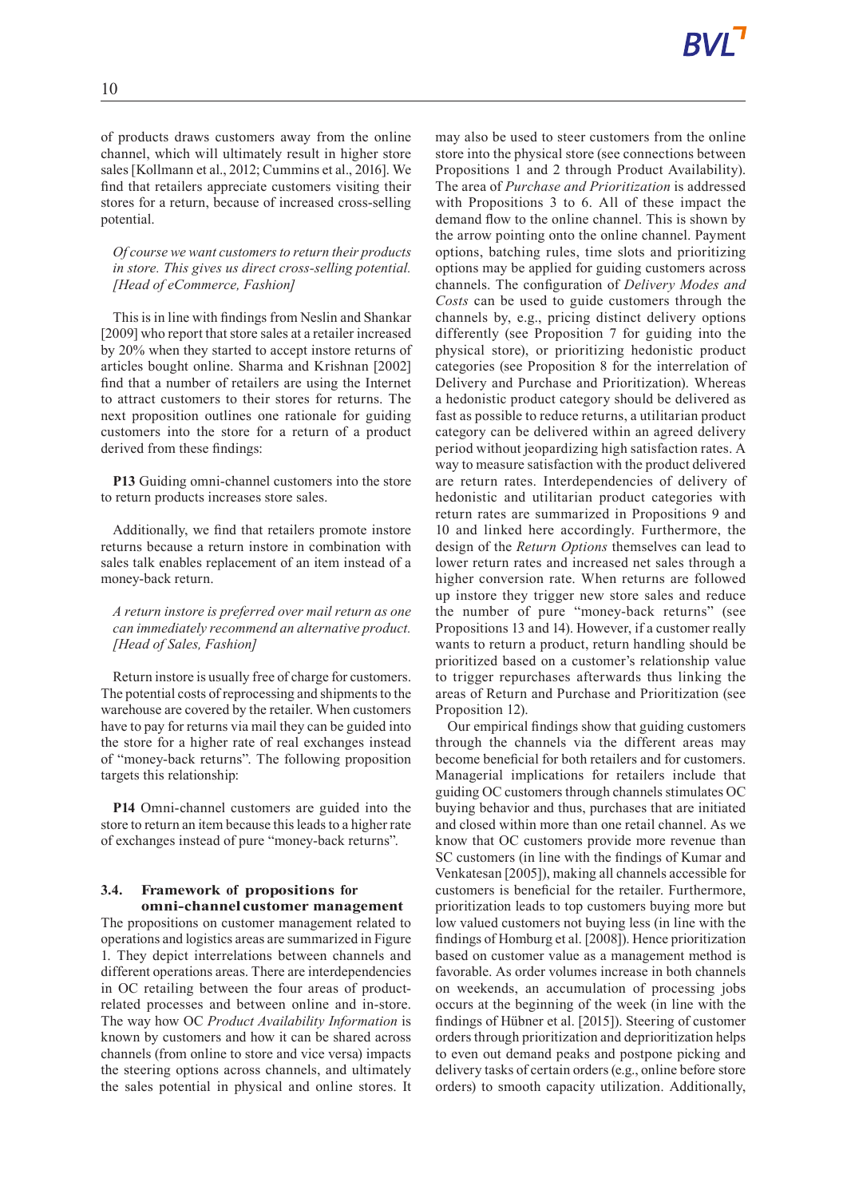of products draws customers away from the online channel, which will ultimately result in higher store sales [Kollmann et al., 2012; Cummins et al., 2016]. We find that retailers appreciate customers visiting their stores for a return, because of increased cross-selling potential.

*Of course we want customers to return their products in store. This gives us direct cross-selling potential. [Head of eCommerce, Fashion]*

This is in line with findings from Neslin and Shankar [2009] who report that store sales at a retailer increased by 20% when they started to accept instore returns of articles bought online. Sharma and Krishnan [2002] find that a number of retailers are using the Internet to attract customers to their stores for returns. The next proposition outlines one rationale for guiding customers into the store for a return of a product derived from these findings:

**P13** Guiding omni-channel customers into the store to return products increases store sales.

Additionally, we find that retailers promote instore returns because a return instore in combination with sales talk enables replacement of an item instead of a money-back return.

*A return instore is preferred over mail return as one can immediately recommend an alternative product. [Head of Sales, Fashion]*

Return instore is usually free of charge for customers. The potential costs of reprocessing and shipments to the warehouse are covered by the retailer. When customers have to pay for returns via mail they can be guided into the store for a higher rate of real exchanges instead of "money-back returns". The following proposition targets this relationship:

**P14** Omni-channel customers are guided into the store to return an item because this leads to a higher rate of exchanges instead of pure "money-back returns".

#### **3.4. Framework of propositions for omni-channel customer management**

The propositions on customer management related to operations and logistics areas are summarized in Figure 1. They depict interrelations between channels and different operations areas. There are interdependencies in OC retailing between the four areas of productrelated processes and between online and in-store. The way how OC *Product Availability Information* is known by customers and how it can be shared across channels (from online to store and vice versa) impacts the steering options across channels, and ultimately the sales potential in physical and online stores. It may also be used to steer customers from the online store into the physical store (see connections between Propositions 1 and 2 through Product Availability). The area of *Purchase and Prioritization* is addressed with Propositions 3 to 6. All of these impact the demand flow to the online channel. This is shown by the arrow pointing onto the online channel. Payment options, batching rules, time slots and prioritizing options may be applied for guiding customers across channels. The configuration of *Delivery Modes and Costs* can be used to guide customers through the channels by, e.g., pricing distinct delivery options differently (see Proposition 7 for guiding into the physical store), or prioritizing hedonistic product categories (see Proposition 8 for the interrelation of Delivery and Purchase and Prioritization). Whereas a hedonistic product category should be delivered as fast as possible to reduce returns, a utilitarian product category can be delivered within an agreed delivery period without jeopardizing high satisfaction rates. A way to measure satisfaction with the product delivered are return rates. Interdependencies of delivery of hedonistic and utilitarian product categories with return rates are summarized in Propositions 9 and 10 and linked here accordingly. Furthermore, the design of the *Return Options* themselves can lead to lower return rates and increased net sales through a higher conversion rate. When returns are followed up instore they trigger new store sales and reduce the number of pure "money-back returns" (see Propositions 13 and 14). However, if a customer really wants to return a product, return handling should be prioritized based on a customer's relationship value to trigger repurchases afterwards thus linking the areas of Return and Purchase and Prioritization (see Proposition 12).

Our empirical findings show that guiding customers through the channels via the different areas may become beneficial for both retailers and for customers. Managerial implications for retailers include that guiding OC customers through channels stimulates OC buying behavior and thus, purchases that are initiated and closed within more than one retail channel. As we know that OC customers provide more revenue than SC customers (in line with the findings of Kumar and Venkatesan [2005]), making all channels accessible for customers is beneficial for the retailer. Furthermore, prioritization leads to top customers buying more but low valued customers not buying less (in line with the findings of Homburg et al. [2008]). Hence prioritization based on customer value as a management method is favorable. As order volumes increase in both channels on weekends, an accumulation of processing jobs occurs at the beginning of the week (in line with the findings of Hübner et al. [2015]). Steering of customer orders through prioritization and deprioritization helps to even out demand peaks and postpone picking and delivery tasks of certain orders (e.g., online before store orders) to smooth capacity utilization. Additionally,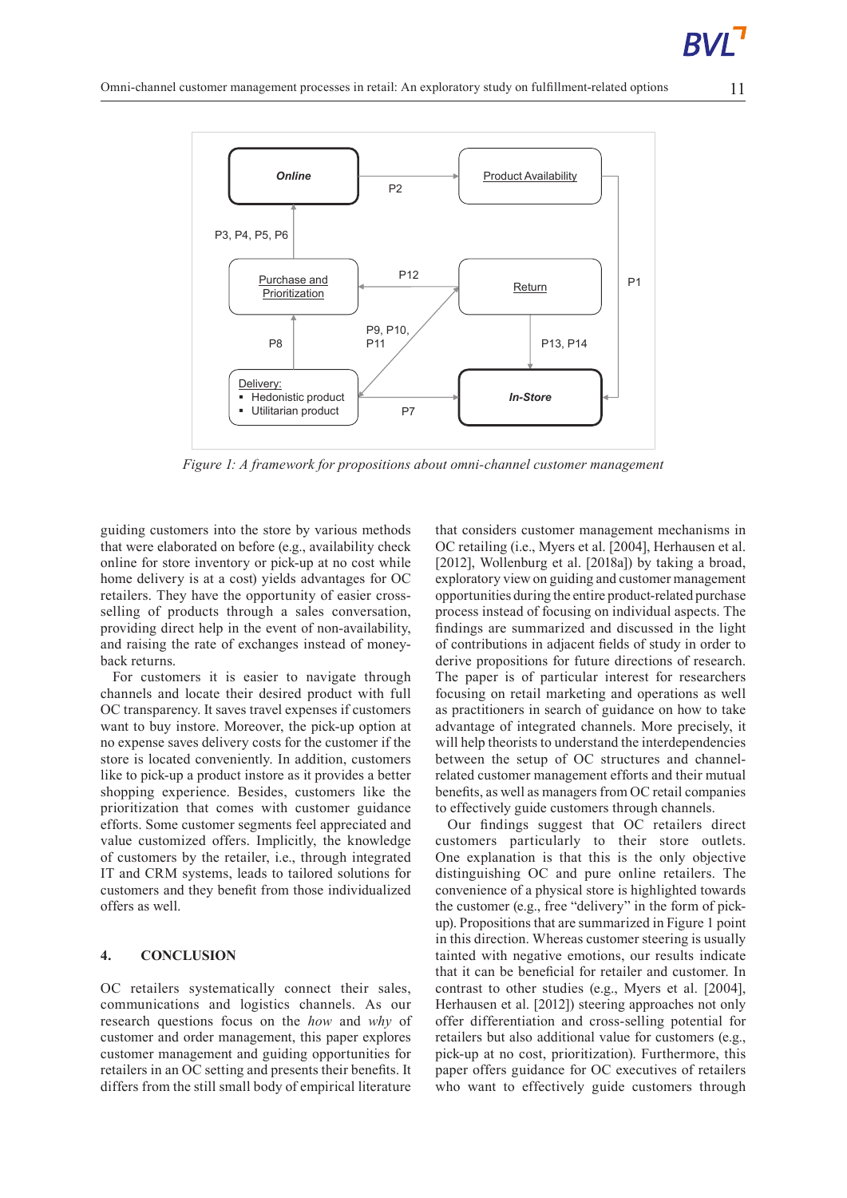

*Figure 1: A framework for propositions about omni-channel customer management*

guiding customers into the store by various methods that were elaborated on before (e.g., availability check online for store inventory or pick-up at no cost while home delivery is at a cost) yields advantages for OC retailers. They have the opportunity of easier crossselling of products through a sales conversation, providing direct help in the event of non-availability, and raising the rate of exchanges instead of moneyback returns.

For customers it is easier to navigate through channels and locate their desired product with full OC transparency. It saves travel expenses if customers want to buy instore. Moreover, the pick-up option at no expense saves delivery costs for the customer if the store is located conveniently. In addition, customers like to pick-up a product instore as it provides a better shopping experience. Besides, customers like the prioritization that comes with customer guidance efforts. Some customer segments feel appreciated and value customized offers. Implicitly, the knowledge of customers by the retailer, i.e., through integrated IT and CRM systems, leads to tailored solutions for customers and they benefit from those individualized offers as well.

## **4. CONCLUSION**

OC retailers systematically connect their sales, communications and logistics channels. As our research questions focus on the *how* and *why* of customer and order management, this paper explores customer management and guiding opportunities for retailers in an OC setting and presents their benefits. It differs from the still small body of empirical literature

that considers customer management mechanisms in OC retailing (i.e., Myers et al. [2004], Herhausen et al. [2012], Wollenburg et al. [2018a]) by taking a broad, exploratory view on guiding and customer management opportunities during the entire product-related purchase process instead of focusing on individual aspects. The findings are summarized and discussed in the light of contributions in adjacent fields of study in order to derive propositions for future directions of research. The paper is of particular interest for researchers focusing on retail marketing and operations as well as practitioners in search of guidance on how to take advantage of integrated channels. More precisely, it will help theorists to understand the interdependencies between the setup of OC structures and channelrelated customer management efforts and their mutual benefits, as well as managers from OC retail companies to effectively guide customers through channels.

Our findings suggest that OC retailers direct customers particularly to their store outlets. One explanation is that this is the only objective distinguishing OC and pure online retailers. The convenience of a physical store is highlighted towards the customer (e.g., free "delivery" in the form of pickup).Propositions that are summarized inFigure 1 point in this direction. Whereas customer steering is usually tainted with negative emotions, our results indicate that it can be beneficial for retailer and customer. In contrast to other studies (e.g., Myers et al. [2004], Herhausen et al. [2012]) steering approaches not only offer differentiation and cross-selling potential for retailers but also additional value for customers (e.g., pick-up at no cost, prioritization). Furthermore, this paper offers guidance for OC executives of retailers who want to effectively guide customers through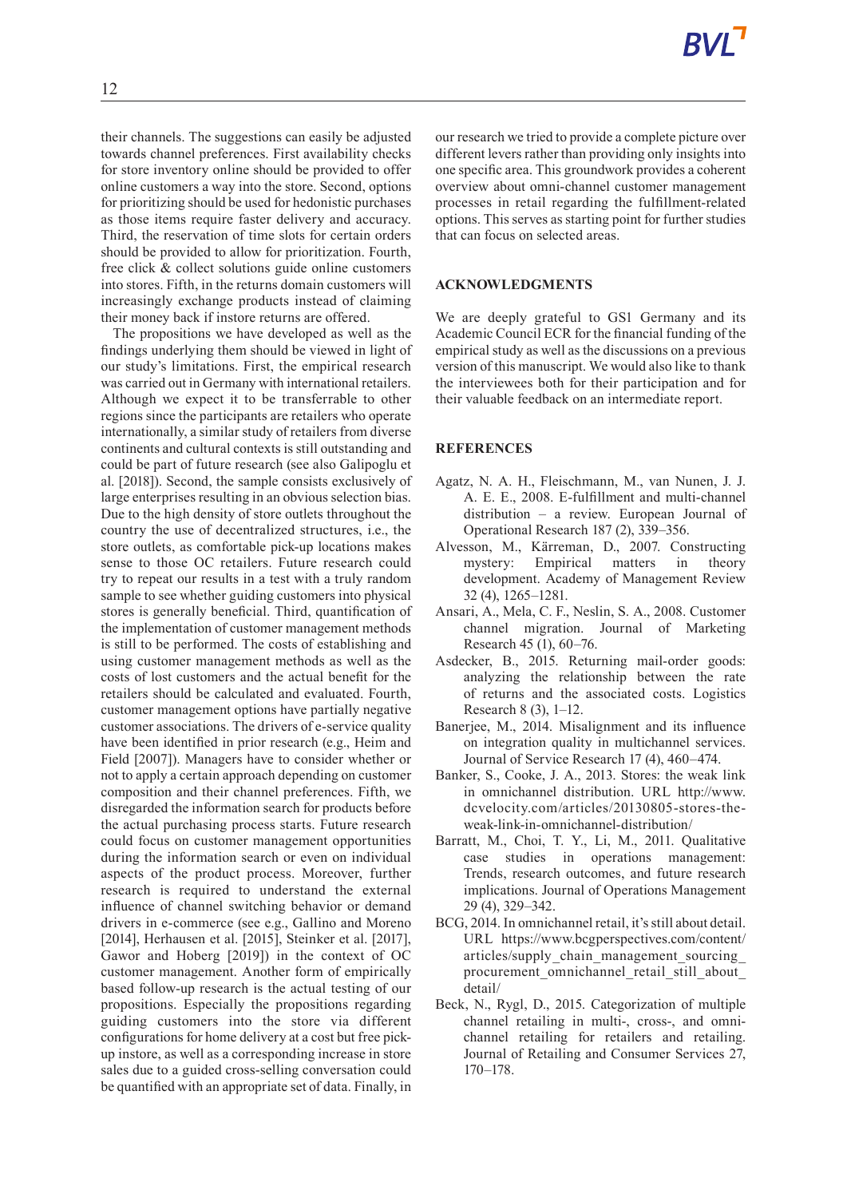their channels. The suggestions can easily be adjusted towards channel preferences. First availability checks for store inventory online should be provided to offer online customers a way into the store. Second, options for prioritizing should be used for hedonistic purchases as those items require faster delivery and accuracy. Third, the reservation of time slots for certain orders should be provided to allow for prioritization. Fourth, free click & collect solutions guide online customers into stores. Fifth, in the returns domain customers will increasingly exchange products instead of claiming their money back if instore returns are offered.

The propositions we have developed as well as the findings underlying them should be viewed in light of our study's limitations. First, the empirical research was carried out in Germany with international retailers. Although we expect it to be transferrable to other regions since the participants are retailers who operate internationally, a similar study of retailers from diverse continents and cultural contexts is still outstanding and could be part of future research (see also Galipoglu et al. [2018]). Second, the sample consists exclusively of large enterprises resulting in an obvious selection bias. Due to the high density of store outlets throughout the country the use of decentralized structures, i.e., the store outlets, as comfortable pick-up locations makes sense to those OC retailers. Future research could try to repeat our results in a test with a truly random sample to see whether guiding customers into physical stores is generally beneficial. Third, quantification of the implementation of customer management methods is still to be performed. The costs of establishing and using customer management methods as well as the costs of lost customers and the actual benefit for the retailers should be calculated and evaluated. Fourth, customer management options have partially negative customer associations. The drivers of e-service quality have been identified in prior research (e.g., Heim and Field [2007]). Managers have to consider whether or not to apply a certain approach depending on customer composition and their channel preferences. Fifth, we disregarded the information search for products before the actual purchasing process starts. Future research could focus on customer management opportunities during the information search or even on individual aspects of the product process. Moreover, further research is required to understand the external influence of channel switching behavior or demand drivers in e-commerce (see e.g., Gallino and Moreno [2014], Herhausen et al. [2015], Steinker et al. [2017], Gawor and Hoberg [2019]) in the context of OC customer management. Another form of empirically based follow-up research is the actual testing of our propositions. Especially the propositions regarding guiding customers into the store via different configurations for home delivery at a cost but free pickup instore, as well as a corresponding increase in store sales due to a guided cross-selling conversation could be quantified with an appropriate set of data. Finally, in

our research we tried to provide a complete picture over different levers rather than providing only insights into one specific area. This groundwork provides a coherent overview about omni-channel customer management processes in retail regarding the fulfillment-related options. This serves as starting point for further studies that can focus on selected areas.

#### **ACKNOWLEDGMENTS**

We are deeply grateful to GS1 Germany and its Academic Council ECR for the financial funding of the empirical study as well as the discussions on a previous version of this manuscript. We would also like to thank the interviewees both for their participation and for their valuable feedback on an intermediate report.

## **REFERENCES**

- Agatz, N. A. H., Fleischmann, M., van Nunen, J. J. A. E. E., 2008. E-fulfillment and multi-channel distribution – a review. European Journal of Operational Research 187 (2), 339–356.
- Alvesson, M., Kärreman, D., 2007. Constructing mystery: Empirical matters in theory development. Academy of Management Review 32 (4), 1265–1281.
- Ansari, A., Mela, C. F., Neslin, S. A., 2008. Customer channel migration. Journal of Marketing Research 45 (1), 60–76.
- Asdecker, B., 2015. Returning mail-order goods: analyzing the relationship between the rate of returns and the associated costs. Logistics Research 8 (3), 1–12.
- Baneriee, M., 2014. Misalignment and its influence on integration quality in multichannel services. Journal of Service Research 17 (4), 460–474.
- Banker, S., Cooke, J. A., 2013. Stores: the weak link in omnichannel distribution. URL http://www. dcvelocity.com/articles/20130805-stores-theweak-link-in-omnichannel-distribution/
- Barratt, M., Choi, T. Y., Li, M., 2011. Qualitative case studies in operations management: Trends, research outcomes, and future research implications. Journal of Operations Management 29 (4), 329–342.
- BCG, 2014. In omnichannel retail, it's still about detail. URL https://www.bcgperspectives.com/content/ articles/supply\_chain\_management\_sourcing\_ procurement\_omnichannel\_retail\_still\_about detail/
- Beck, N., Rygl, D., 2015. Categorization of multiple channel retailing in multi-, cross-, and omnichannel retailing for retailers and retailing. Journal of Retailing and Consumer Services 27, 170–178.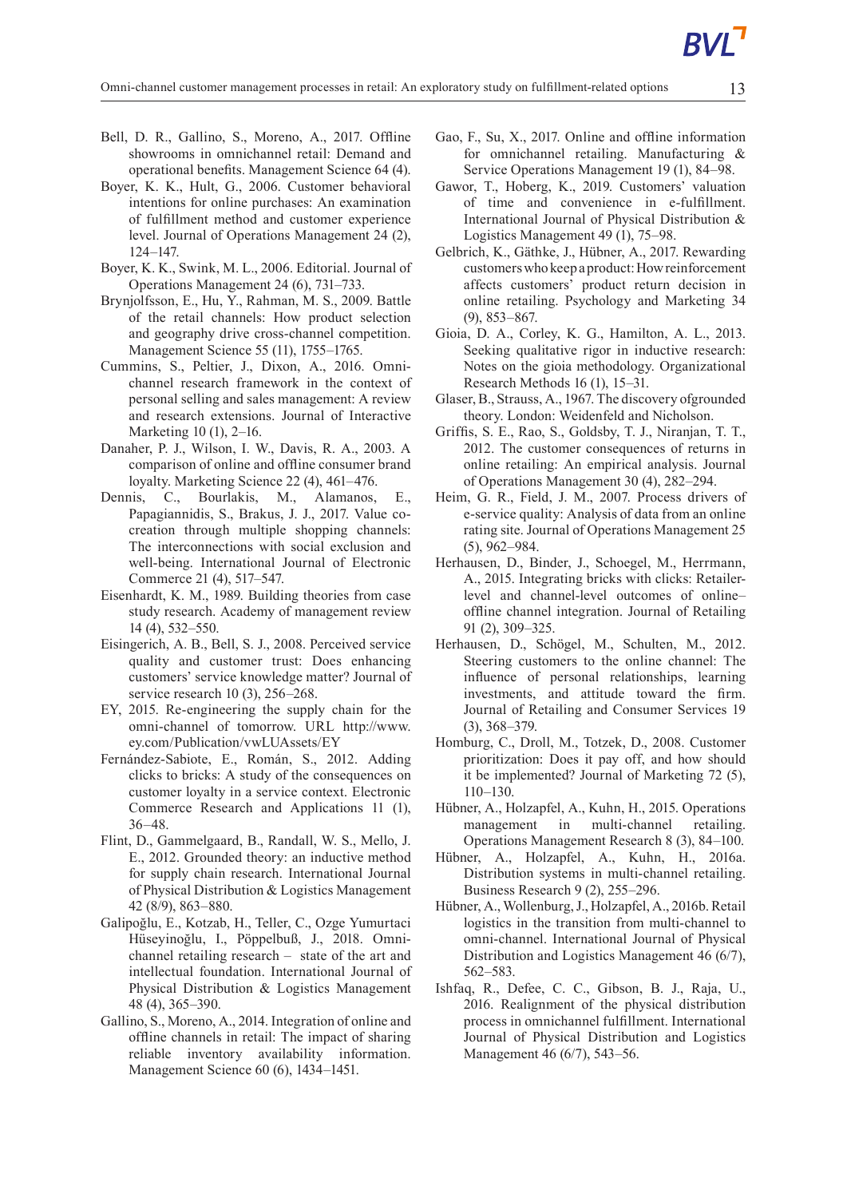- Bell, D. R., Gallino, S., Moreno, A., 2017. Offline showrooms in omnichannel retail: Demand and operational benefits. Management Science 64 (4).
- Boyer, K. K., Hult, G., 2006. Customer behavioral intentions for online purchases: An examination of fulfillment method and customer experience level. Journal of Operations Management 24 (2), 124–147.
- Boyer, K. K., Swink, M. L., 2006. Editorial. Journal of Operations Management 24 (6), 731–733.
- Brynjolfsson, E., Hu, Y., Rahman, M. S., 2009. Battle of the retail channels: How product selection and geography drive cross-channel competition. Management Science 55 (11), 1755–1765.
- Cummins, S., Peltier, J., Dixon, A., 2016. Omnichannel research framework in the context of personal selling and sales management: A review and research extensions. Journal of Interactive Marketing 10 (1), 2–16.
- Danaher, P. J., Wilson, I. W., Davis, R. A., 2003. A comparison of online and offline consumer brand loyalty. Marketing Science 22 (4), 461–476.
- Dennis, C., Bourlakis, M., Alamanos, E., Papagiannidis, S., Brakus, J. J., 2017. Value cocreation through multiple shopping channels: The interconnections with social exclusion and well-being. International Journal of Electronic Commerce 21 (4), 517–547.
- Eisenhardt, K. M., 1989. Building theories from case study research. Academy of management review 14 (4), 532–550.
- Eisingerich, A. B., Bell, S. J., 2008. Perceived service quality and customer trust: Does enhancing customers' service knowledge matter? Journal of service research 10 (3), 256–268.
- EY, 2015. Re-engineering the supply chain for the omni-channel of tomorrow. URL http://www. ey.com/Publication/vwLUAssets/EY
- Fernández-Sabiote, E., Román, S., 2012. Adding clicks to bricks: A study of the consequences on customer loyalty in a service context. Electronic Commerce Research and Applications 11 (1), 36–48.
- Flint, D., Gammelgaard, B., Randall, W. S., Mello, J. E., 2012. Grounded theory: an inductive method for supply chain research. International Journal ofPhysical Distribution & Logistics Management 42 (8/9), 863–880.
- Galipoğlu, E., Kotzab, H., Teller, C., Ozge Yumurtaci Hüseyinoğlu, I., Pöppelbuß, J., 2018. Omnichannel retailing research – state of the art and intellectual foundation. International Journal of Physical Distribution & Logistics Management 48 (4), 365–390.
- Gallino,S., Moreno, A., 2014. Integration of online and offline channels in retail: The impact of sharing reliable inventory availability information. Management Science 60 (6), 1434–1451.
- Gao, F., Su, X., 2017. Online and offline information for omnichannel retailing. Manufacturing & Service Operations Management 19 (1), 84–98.
- Gawor, T., Hoberg, K., 2019. Customers' valuation of time and convenience in e-fulfillment. International Journal of Physical Distribution & Logistics Management 49 (1), 75–98.
- Gelbrich, K., Gäthke, J., Hübner, A., 2017. Rewarding customerswhokeepaproduct:Howreinforcement affects customers' product return decision in online retailing. Psychology and Marketing 34 (9), 853–867.
- Gioia, D. A., Corley, K. G., Hamilton, A. L., 2013. Seeking qualitative rigor in inductive research: Notes on the gioia methodology. Organizational Research Methods 16 (1), 15–31.
- Glaser,B.,Strauss, A., 1967. The discovery ofgrounded theory. London: Weidenfeld and Nicholson.
- Griffis, S. E., Rao, S., Goldsby, T. J., Niranjan, T. T., 2012. The customer consequences of returns in online retailing: An empirical analysis. Journal of Operations Management 30 (4), 282–294.
- Heim, G. R., Field, J. M., 2007. Process drivers of e-service quality: Analysis of data from an online rating site. Journal of Operations Management 25 (5), 962–984.
- Herhausen, D., Binder, J., Schoegel, M., Herrmann, A., 2015. Integrating bricks with clicks: Retailerlevel and channel-level outcomes of online– offline channel integration. Journal of Retailing 91 (2), 309–325.
- Herhausen, D., Schögel, M., Schulten, M., 2012. Steering customers to the online channel: The influence of personal relationships, learning investments, and attitude toward the firm. Journal of Retailing and Consumer Services 19 (3), 368–379.
- Homburg, C., Droll, M., Totzek, D., 2008. Customer prioritization: Does it pay off, and how should it be implemented? Journal of Marketing 72 (5), 110–130.
- Hübner, A., Holzapfel, A., Kuhn, H., 2015. Operations management in multi-channel retailing. Operations Management Research 8 (3), 84–100.
- Hübner, A., Holzapfel, A., Kuhn, H., 2016a. Distribution systems in multi-channel retailing. Business Research 9 (2), 255–296.
- Hübner, A., Wollenburg, J., Holzapfel, A., 2016b. Retail logistics in the transition from multi-channel to omni-channel. International Journal of Physical Distribution and Logistics Management 46 (6/7), 562–583.
- Ishfaq, R., Defee, C. C., Gibson, B. J., Raja, U., 2016. Realignment of the physical distribution process in omnichannel fulfillment. International Journal of Physical Distribution and Logistics Management 46 (6/7), 543–56.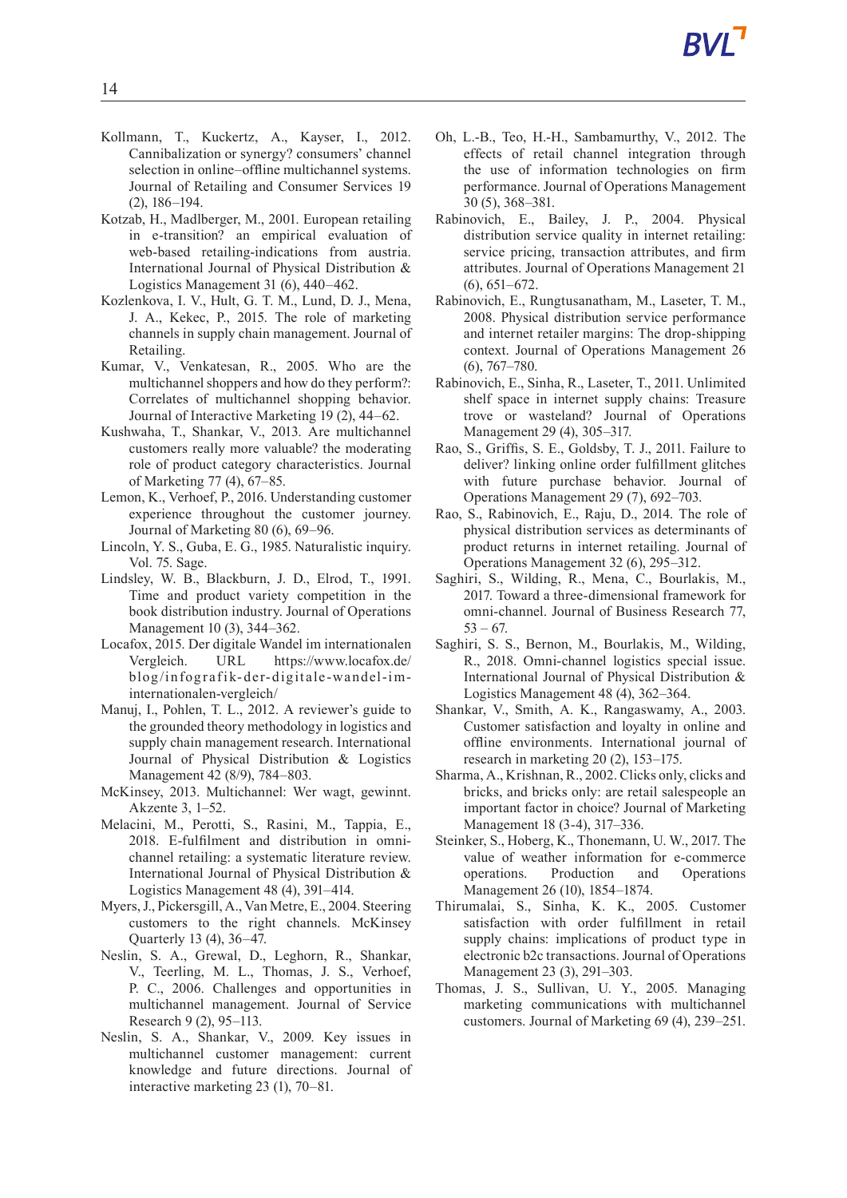- Kollmann, T., Kuckertz, A., Kayser, I., 2012. Cannibalization or synergy? consumers' channel selection in online–offline multichannel systems. Journal of Retailing and Consumer Services 19 (2), 186–194.
- Kotzab, H., Madlberger, M., 2001. European retailing in e-transition? an empirical evaluation of web-based retailing-indications from austria. International Journal of Physical Distribution & Logistics Management 31 (6), 440–462.
- Kozlenkova, I. V., Hult, G. T. M., Lund, D. J., Mena, J. A., Kekec, P., 2015. The role of marketing channels in supply chain management. Journal of Retailing.
- Kumar, V., Venkatesan, R., 2005. Who are the multichannel shoppers and how do they perform?: Correlates of multichannel shopping behavior. Journal of Interactive Marketing 19 (2), 44–62.
- Kushwaha, T., Shankar, V., 2013. Are multichannel customers really more valuable? the moderating role of product category characteristics. Journal of Marketing 77 (4), 67–85.
- Lemon, K., Verhoef, P., 2016. Understanding customer experience throughout the customer journey. Journal of Marketing 80 (6), 69–96.
- Lincoln, Y. S., Guba, E. G., 1985. Naturalistic inquiry. Vol. 75. Sage.
- Lindsley, W. B., Blackburn, J. D., Elrod, T., 1991. Time and product variety competition in the book distribution industry. Journal of Operations Management 10 (3), 344–362.
- Locafox, 2015. Der digitale Wandel im internationalen Vergleich. URL https://www.locafox.de/ blog/infografik-der-digitale-wandel-iminternationalen-vergleich/
- Manuj, I., Pohlen, T. L., 2012. A reviewer's guide to the grounded theory methodology in logistics and supply chain management research. International Journal of Physical Distribution & Logistics Management 42 (8/9), 784–803.
- McKinsey, 2013. Multichannel: Wer wagt, gewinnt. Akzente 3, 1–52.
- Melacini, M., Perotti, S., Rasini, M., Tappia, E., 2018. E-fulfilment and distribution in omnichannel retailing: a systematic literature review. International Journal of Physical Distribution & Logistics Management 48 (4), 391–414.
- Myers, J., Pickersgill, A., Van Metre, E., 2004. Steering customers to the right channels. McKinsey Quarterly 13 (4), 36–47.
- Neslin, S. A., Grewal, D., Leghorn, R., Shankar, V., Teerling, M. L., Thomas, J. S., Verhoef, P. C., 2006. Challenges and opportunities in multichannel management. Journal of Service Research 9 (2), 95–113.
- Neslin, S. A., Shankar, V., 2009. Key issues in multichannel customer management: current knowledge and future directions. Journal of interactive marketing 23 (1), 70–81.
- Oh, L.-B., Teo, H.-H., Sambamurthy, V., 2012. The effects of retail channel integration through the use of information technologies on firm performance. Journal of Operations Management 30 (5), 368–381.
- Rabinovich, E., Bailey, J. P., 2004. Physical distribution service quality in internet retailing: service pricing, transaction attributes, and firm attributes. Journal of Operations Management 21 (6), 651–672.
- Rabinovich, E., Rungtusanatham, M., Laseter, T. M., 2008. Physical distribution service performance and internet retailer margins: The drop-shipping context. Journal of Operations Management 26 (6), 767–780.
- Rabinovich, E., Sinha, R., Laseter, T., 2011. Unlimited shelf space in internet supply chains: Treasure trove or wasteland? Journal of Operations Management 29 (4), 305–317.
- Rao, S., Griffis, S. E., Goldsby, T. J., 2011. Failure to deliver? linking online order fulfillment glitches with future purchase behavior. Journal of Operations Management 29 (7), 692–703.
- Rao, S., Rabinovich, E., Raju, D., 2014. The role of physical distribution services as determinants of product returns in internet retailing. Journal of Operations Management 32 (6), 295–312.
- Saghiri, S., Wilding, R., Mena, C., Bourlakis, M., 2017. Toward a three-dimensional framework for omni-channel. Journal of Business Research 77,  $53 - 67.$
- Saghiri, S. S., Bernon, M., Bourlakis, M., Wilding, R., 2018. Omni-channel logistics special issue. International Journal of Physical Distribution & Logistics Management 48 (4), 362–364.
- Shankar, V., Smith, A. K., Rangaswamy, A., 2003. Customer satisfaction and loyalty in online and offline environments. International journal of research in marketing 20 (2), 153–175.
- Sharma, A., Krishnan, R., 2002. Clicks only, clicks and bricks, and bricks only: are retail salespeople an important factor in choice? Journal of Marketing Management 18 (3-4), 317–336.
- Steinker, S., Hoberg, K., Thonemann, U. W., 2017. The value of weather information for e-commerce operations. Production and Operations Management 26 (10), 1854–1874.
- Thirumalai, S., Sinha, K. K., 2005. Customer satisfaction with order fulfillment in retail supply chains: implications of product type in electronic b2c transactions. Journal of Operations Management 23 (3), 291–303.
- Thomas, J. S., Sullivan, U. Y., 2005. Managing marketing communications with multichannel customers. Journal of Marketing 69 (4), 239–251.